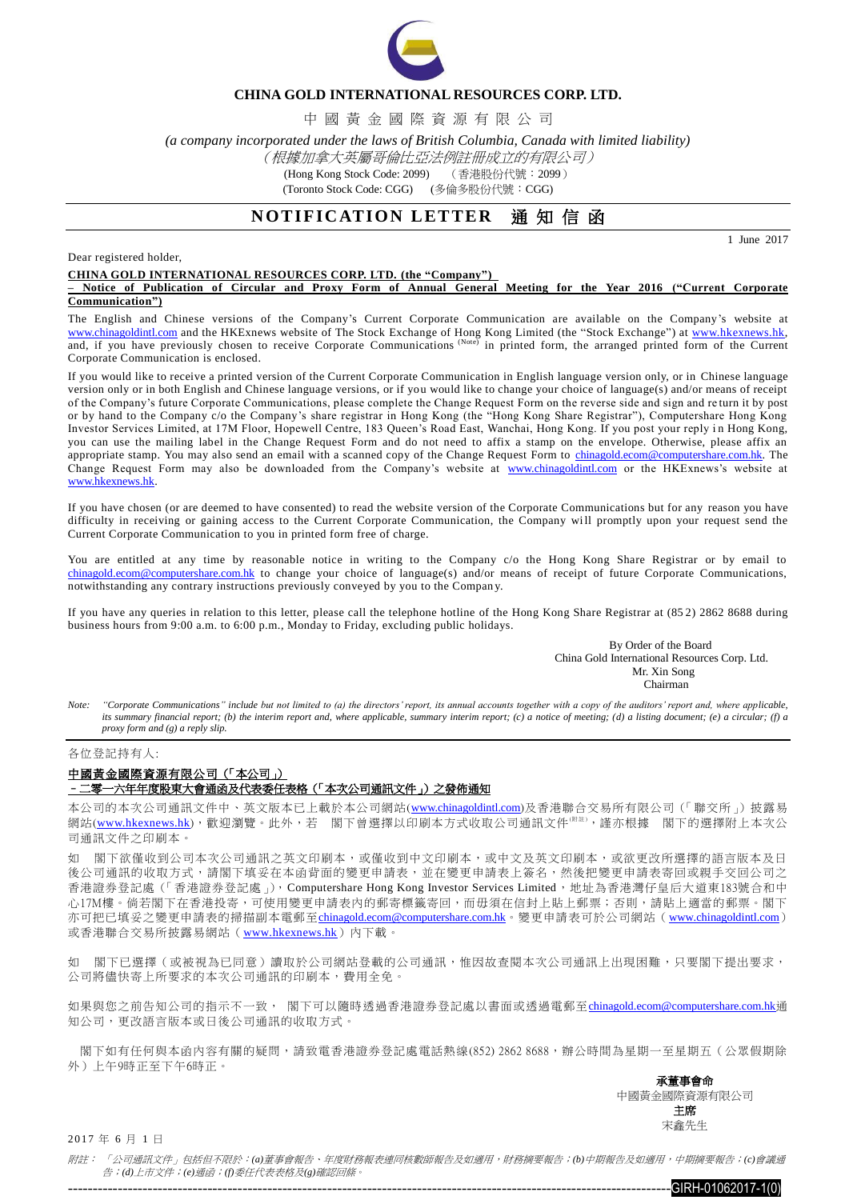

### **CHINA GOLD INTERNATIONAL RESOURCES CORP. LTD.**

中 國 黃 金 國 際 資 源 有 限 公 司

*(a company incorporated under the laws of British Columbia, Canada with limited liability)*

## (根據加拿大英屬哥倫比亞法例註冊成立的有限公司)

(Hong Kong Stock Code: 2099) (香港股份代號:2099)

(Toronto Stock Code: CGG) (多倫多股份代號:CGG)

# **NOTIFICATION LETTER 通知信函**

1 June 2017

Dear registered holder,

#### **CHINA GOLD INTERNATIONAL RESOURCES CORP. LTD. (the "Company")**

**– Notice of Publication of Circular and Proxy Form of Annual General Meeting for the Year 2016 ("Current Corporate Communication")**

The English and Chinese versions of the Company's Current Corporate Communication are available on the Company's website at [www.chinagoldintl.com](http://www.chinagoldintl.com/) and the HKExnews website of The Stock Exchange of Hong Kong Limited (the "Stock Exchange") at www.hkexnews.hk, and, if you have previously chosen to receive Corporate Communications (Note) in printed form, the arranged printed form of the Current Corporate Communication is enclosed.

If you would like to receive a printed version of the Current Corporate Communication in English language version only, or in Chinese language version only or in both English and Chinese language versions, or if you would like to change your choice of language(s) and/or means of receipt of the Company's future Corporate Communications, please complete the Change Request Form on the reverse side and sign and re turn it by post or by hand to the Company c/o the Company's share registrar in Hong Kong (the "Hong Kong Share Registrar"), Computershare Hong Kong Investor Services Limited, at 17M Floor, Hopewell Centre, 183 Queen's Road East, Wanchai, Hong Kong. If you post your reply i n Hong Kong, you can use the mailing label in the Change Request Form and do not need to affix a stamp on the envelope. Otherwise, please affix an appropriate stamp. You may also send an email with a scanned copy of the Change Request Form to [chinagold.ecom@computershare.com.hk.](mailto:sanmiguel.ecom@computershare.com.hk) The Change Request Form may also be downloaded from the Company's website at [www.chinagoldintl.com](http://www.chinagoldintl.com/) or the HKExnews's website at [www.hkexnews.hk.](http://www.hkexnews.hk/) 

If you have chosen (or are deemed to have consented) to read the website version of the Corporate Communications but for any reason you have difficulty in receiving or gaining access to the Current Corporate Communication, the Company will promptly upon your request send the Current Corporate Communication to you in printed form free of charge.

You are entitled at any time by reasonable notice in writing to the Company c/o the Hong Kong Share Registrar or by email to [chinagold.ecom@computershare.com.hk](mailto:sanmiguel.ecom@computershare.com.hk) to change your choice of language(s) and/or means of receipt of future Corporate Communications, notwithstanding any contrary instructions previously conveyed by you to the Compan y.

If you have any queries in relation to this letter, please call the telephone hotline of the Hong Kong Share Registrar at (85 2) 2862 8688 during business hours from 9:00 a.m. to 6:00 p.m., Monday to Friday, excluding public holidays.

> By Order of the Board China Gold International Resources Corp. Ltd. Mr. Xin Song **Chairman**

*Note: "Corporate Communications" include but not limited to (a) the directors' report, its annual accounts together with a copy of the auditors' report and, where applicable, its summary financial report; (b) the interim report and, where applicable, summary interim report; (c) a notice of meeting; (d) a listing document; (e) a circular; (f) a proxy form and (g) a reply slip.*

各位登記持有人:

## 中國黃金國際資源有限公司(「本公司」) –二零一六年年度股東大會通函及代表委任表格(「本次公司通訊文件」)之發佈通知

本公司的本次公司通訊文件中、英文版本已上載於本公司網站([www.chinagoldintl.com](http://www.chinagoldintl.com/))及香港聯合交易所有限公司(「聯交所」)披露易 網站([www.hkexnews.hk](http://www.hkexnews.hk/index.htm)),歡迎瀏覽。此外,若 閣下曾選擇以印刷本方式收取公司通訊文件《附註》,謹亦根據 閣下的選擇附上本次公 司通訊文件之印刷本。

如 閣下欲僅收到公司本次公司通訊之英文印刷本,或僅收到中文印刷本,或中文及英文印刷本,或欲更改所選擇的語言版本及日 後公司通訊的收取方式,請閣下填妥在本函背面的變更申請表,並在變更申請表上簽名,然後把變更申請表寄回或親手交回公司之 香港證券登記處(「香港證券登記處」), Computershare Hong Kong Investor Services Limited,地址為香港灣仔皇后大道東183號合和中 心17M樓。倘若閣下在香港投寄,可使用變更申請表內的郵寄標籤寄回,而毋須在信封上貼上郵票;否則,請貼上適當的郵票。閣下 亦可把已填妥之變更申請表的掃描副本電郵至[chinagold.ecom@computershare.com.hk](mailto:sanmiguel.ecom@computershare.com.hk)。變更申請表可於公司網站([www.chinagoldintl.com](http://www.chinagoldintl.com/)) 或香港聯合交易所披露易網站([www.hkexnews.hk](http://www.hkexnews.hk/index.htm))內下載。

如 閣下已選擇(或被視為已同意)讀取於公司網站登載的公司通訊,惟因故查閱本次公司通訊上出現困難,只要閣下提出要求, 公司將儘快寄上所要求的本次公司通訊的印刷本,費用全免。

如果與您之前告知公司的指示不一致, 閣下可以隨時透過香港證券登記處以書面或透過電郵至[chinagold.ecom@computershare.com.hk](mailto:sanmiguel.ecom@computershare.com.hk)通 知公司,更改語言版本或日後公司通訊的收取方式。

閣下如有任何與本函內容有關的疑問,請致電香港證券登記處電話熱線(852) 2862 8688,辦公時間為星期一至星期五(公眾假期除 外)上午9時正至下午6時正。

> 承董事會命 中國黃金國際資源有限公司 主席 宋鑫先生

2017 年 6 月 1 日

附註: 「公司通訊文件」包括但不限於:*(a)*董事會報告、年度財務報表連同核數師報告及如適用,財務摘要報告;*(b)*中期報告及如適用,中期摘要報告;*(c)*會議通 告;*(d)*上市文件;*(e)*通函;*(f)*委任代表表格及*(g)*確認回條。